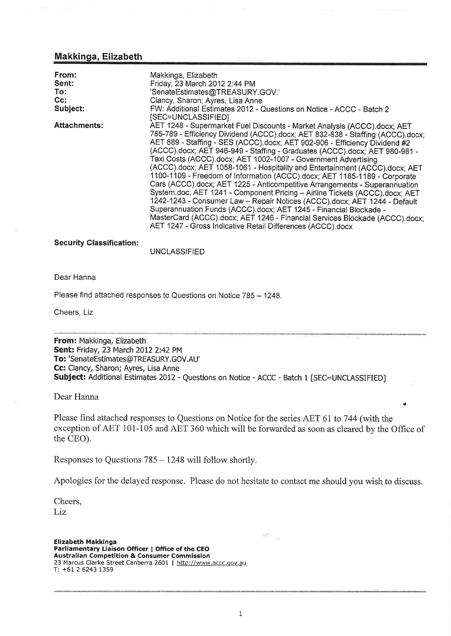## Makkinga, Elizabeth

| From:<br>Sent:<br>To:<br>$Cc$ :<br>Subject: | Makkinga, Elizabeth<br>Friday, 23 March 2012 2:44 PM<br>'SenateEstimates@TREASURY.GOV.'<br>Clancy, Sharon; Ayres, Lisa Anne<br>FW: Additional Estimates 2012 - Questions on Notice - ACCC - Batch 2<br>[SEC=UNCLASSIFIED]                                                                                                                                                                                                                                                                                                                                                                                                                                                                                                                                                                                                                                                                                                                                                                                        |
|---------------------------------------------|------------------------------------------------------------------------------------------------------------------------------------------------------------------------------------------------------------------------------------------------------------------------------------------------------------------------------------------------------------------------------------------------------------------------------------------------------------------------------------------------------------------------------------------------------------------------------------------------------------------------------------------------------------------------------------------------------------------------------------------------------------------------------------------------------------------------------------------------------------------------------------------------------------------------------------------------------------------------------------------------------------------|
| <b>Attachments:</b>                         | AET 1248 - Supermarket Fuel Discounts - Market Analysis (ACCC).docx; AET<br>785-789 - Efficiency Dividend (ACCC).docx; AET 832-838 - Staffing (ACCC).docx;<br>AET 889 - Staffing - SES (ACCC).docx; AET 902-906 - Efficiency Dividend #2<br>(ACCC).docx; AET 946-949 - Staffing - Graduates (ACCC).docx; AET 980-981 -<br>Taxi Costs (ACCC).docx; AET 1002-1007 - Government Advertising<br>(ACCC).docx; AET 1058-1061 - Hospitality and Entertainment (ACCC).docx; AET<br>1100-1109 - Freedom of Information (ACCC).docx; AET 1185-1189 - Corporate<br>Cars (ACCC).docx; AET 1225 - Anticompetitive Arrangements - Superannuation<br>System.doc; AET 1241 - Component Pricing - Airline Tickets (ACCC).docx; AET<br>1242-1243 - Consumer Law - Repair Notices (ACCC).docx; AET 1244 - Default<br>Superannuation Funds (ACCC).docx; AET 1245 - Financial Blockade -<br>MasterCard (ACCC).docx; AET 1246 - Financial Services Blockade (ACCC).docx;<br>AET 1247 - Gross Indicative Retail Differences (ACCC) docx |

### **Security Classification:**

UNCLASSIFIED

#### Dear Hanna

Please find attached responses to Questions on Notice 785 - 1248.

Cheers, Liz

From: Makkinga, Elizabeth Sent: Friday, 23 March 2012 2:42 PM To:'SenateEstimates@TREASURY.GOV.AU' Cc: Clancy, Sharon; Ayres, Lisa Anne Subject: Additional Estimates 2012 - Questions on Notice - ACCC - Batch 1 [SEC=UNCLASSIFIED]

Dear Hanna

Please find attached responses to Questions on Notice for the series AET 61 to 744 (with the exception of AET 101-105 and AET 360 which will be forwarded as soon as cleared by the Office of the CEO).

.

Responses to Questions <sup>785</sup>- 1248 will follow shortly.

Apologies for the delayed response. Please do not hesitate to contact me should you wish to discuss.

Cheers, Liz

Elizabeth Makkinga Parliamentary Liaison Officer | Office of the CEO Australian Competition & Consumer Commission 23 Marcus Clarke Street Canberra 2601 | http://www.accc.gov.au T: +61 2 6243 1359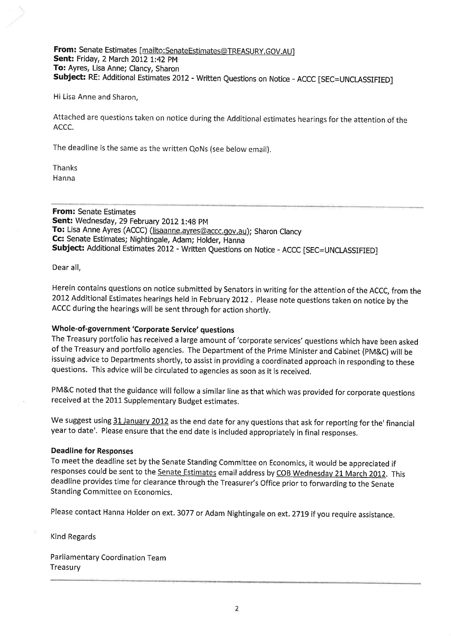## From: Senate Estimates [mailto:SenateEstimates@TREASURY.GOV.AU] Sent: Friday, 2 March 2012 l:42 pM To: Ayres, Lisa Anne; Clancy, Sharon Subject: RE: Additional Estimates 2012 - Written Questions on Notice - ACCC [SEC=UNCLASSIFIED]

Hi Lisa Anne and Sharon,

Attached are questions taken on notice during the Additional estimates hearings for the attention of the ACCC.

The deadline is the same as the written QoNs (see below email).

Thanks Hanna

From: Senate Estimates Sent: Wednesday, 29 February 2012 1:48 pM To: Lisa Anne Ayres (ACCC) (lisaanne.ayres@accc.gov.au); Sharon Clancy Cc: Senate Estimates; Nightingale, Adam; Holder, Hanna Subject: Additional Estimates 2012 - Written Questions on Notice - ACCC [SEC=UNCLASSIFIED]

Dear all,

Herein contains questions on notice submitted by Senators ín writing for the attention of the ACCC, from the <sup>2012</sup>Additional Estimates hearings held in February 2012 . Please note questions taken on notice by the ACCC during the hearings will be sent through for action shortly.

# Whole-of-government 'Corporate Service' questions

The Treasury portfolio has received a large amount of 'corporate services' questions which have been asked of the Treasury and portfolio agencies. The Department of the Prime Minister and cabinet (pM&c) will be issuing advice to Departments shortly, to assist in providing a coordinated approach in responding to these questions. This advice will be circulated to agencies as soon as it is received.

PM&C noted that the guidance will follow a similar line as that which was provided for corporate questions received at the 2011 Supplementary Budget estimates.

We suggest using 31 January 2012 as the end date for any questions that ask for reporting for the' financial year to date'. Please ensure that the end date is included appropriately in final responses.

### Deadline for Responses

To meet the deadline set by the Senate Standing Committee on Economics, it would be appreciated if responses could be sent to the Senate Estimates email address by COB Wednesday 21 March 2012. This deadline provides time for clearance through the Treasurer's Office prior to forwarding to the Senate Standing Committee on Economics.

Please contact Hanna Holder on ext. 3077 or Adam Nightingale on ext. 2719 if you require assistance.

Kind Regards

Parliamentary Coordination Team Treasury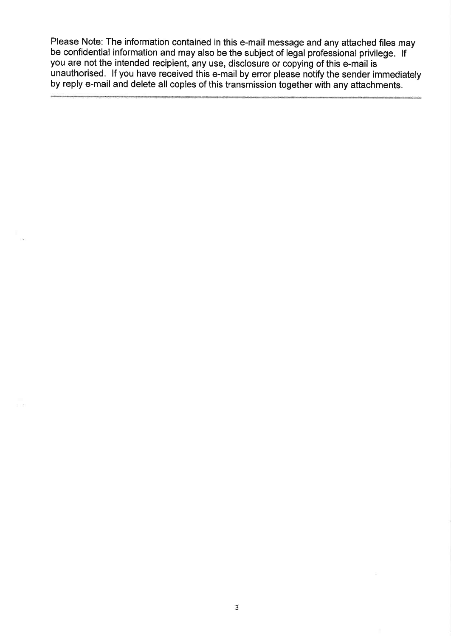Please Note: The information contained in this e-mail message and any attached files may be confidential information and may also be the subject of legal professional privilege. lf you are not the intended recipient, any use, disclosure or copying of this e-mail is unauthorised. lf you have received this e-mail by error please notify the sender immediately by reply e-mail and delete all copies of this transmission together with any attachments.

 $-112$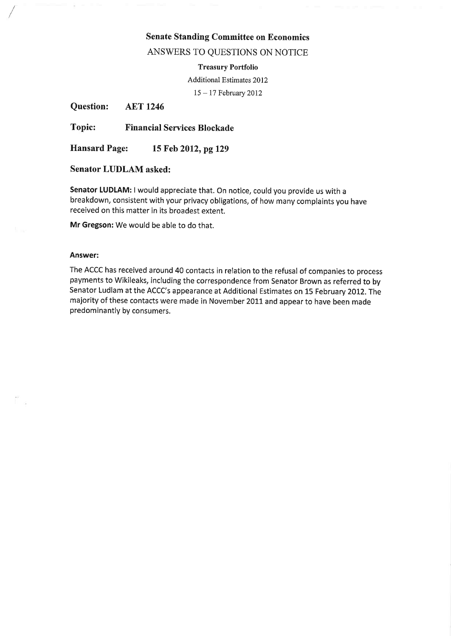# Senate Standing Committee on Economics

ANSWERS TO QUESTIONS ON NOTICE

#### Treasury Portfolio

Additional Estimates 2012

15-17 February 2012

Question: AET 1246

Topic: Financial Services Blockade

Hansard Page: 15 Feb 2012, pg 129

Senator LUDLAM asked:

Senator LUDLAM: I would appreciate that. On notice, could you provide us with a breakdown, consistent with your privacy obligations, of how many complaints you have received on this matter in its broadest extent.

Mr Gregson: We would be able to do that.

#### Answer:

The ACCC has received around 40 contacts in relation to the refusal of companies to process payments to Wikileaks, including the correspondence from Senator Brown as referred to by Senator Ludlam at the ACCC's appearance at Additional Estimates on 15 February 2012. The majority of these contacts were made in November 2011 and appear to have been made predominantly by consumers.